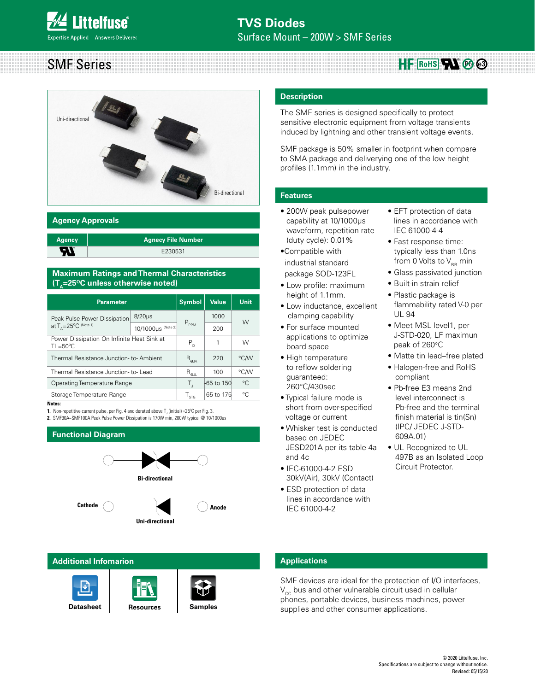#### <u> 1999 - 1999 - 1999 - 1999 - 1999 - 1999 - 1999 - 1999 - 1999 - 1999 - 1999 - 1999 - 1999 - 1999 - 1999 - 199</u> SMF Series



#### **Agency Approvals**

| <b>Agency</b> | <b>Agnecy File Number</b> |
|---------------|---------------------------|
| с<br>л        | E230531                   |

#### **Maximum Ratings and Thermal Characteristics (T<sub>^</sub>=25<sup>o</sup>C unless otherwise noted)**

| <b>Parameter</b>                                                 | <b>Symbol</b>               | Value      | <b>Unit</b>  |   |  |
|------------------------------------------------------------------|-----------------------------|------------|--------------|---|--|
| Peak Pulse Power Dissipation                                     | $8/20\mu s$                 |            | 1000         | W |  |
| at $T_{\wedge} = 25^{\circ}C$ (Note 1)                           | 10/1000µs (Note 2)          | $P_{PPM}$  | 200          |   |  |
| Power Dissipation On Infinite Heat Sink at<br>$TL = 50^{\circ}C$ | P <sub>n</sub>              | 1          | W            |   |  |
| Thermal Resistance Junction-to-Ambient                           | $R_{\rm g,IA}$              | 220        | °C/W         |   |  |
| Thermal Resistance Junction-to-Lead                              | $R_{\underline{\Theta}$ jl  | 100        | °C/W         |   |  |
| Operating Temperature Range                                      | Τ,                          | -65 to 150 | $^{\circ}$ C |   |  |
| Storage Temperature Range                                        | $\mathsf{I}_{\mathsf{STG}}$ | -65 to 175 | °C           |   |  |

**Notes:**

**1.** Non-repetitive current pulse, per Fig. 4 and derated above  $T_{\text{J}}$  (initial) =25°C per Fig. 3. **2.** SMF90A~SMF100A Peak Pulse Power Dissipation is 170W min, 200W typical @ 10/1000us

#### **Functional Diagram**



#### **Additional Infomarion**







**[Resources](http://www.littelfuse.com/products/tvs-diodes/surface-mount/smf.aspx#TechnicalResources) [Samples](http://www.littelfuse.com/products/tvs-diodes/surface-mount/smf.aspx#ElectricalCharacteristics)**

#### **Description**

The SMF series is designed specifically to protect sensitive electronic equipment from voltage transients induced by lightning and other transient voltage events.

SMF package is 50% smaller in footprint when compare to SMA package and deliverying one of the low height profiles (1.1mm) in the industry.

#### **Features**

- 200W peak pulsepower capability at 10/1000µs waveform, repetition rate (duty cycle): 0.01%
- •Compatible with industrial standard package SOD-123FL
- Low profile: maximum height of 1.1mm.
- Low inductance, excellent clamping capability
- For surface mounted applications to optimize board space
- High temperature to reflow soldering guaranteed: 260°C/430sec
- Typical failure mode is short from over-specified voltage or current
- Whisker test is conducted based on JEDEC JESD201A per its table 4a and 4c
- IEC-61000-4-2 ESD 30kV(Air), 30kV (Contact)
- ESD protection of data lines in accordance with IEC 61000-4-2

• EFT protection of data lines in accordance with IEC 61000-4-4

 $HF$  RoHS**N** & <sup>3</sup>

- Fast response time: typically less than 1.0ns from 0 Volts to  $V_{BR}$  min
- Glass passivated junction
- Built-in strain relief
- Plastic package is flammability rated V-0 per UL 94
- Meet MSL level1, per J-STD-020, LF maximun peak of 260°C
- Matte tin lead–free plated
- Halogen-free and RoHS compliant
- Pb-free E3 means 2nd level interconnect is Pb-free and the terminal finish material is tin(Sn) (IPC/ JEDEC J-STD-609A.01)
- UL Recognized to UL 497B as an Isolated Loop Circuit Protector.

#### **Applications**

SMF devices are ideal for the protection of I/O interfaces,  $V_{cc}$  bus and other vulnerable circuit used in cellular phones, portable devices, business machines, power supplies and other consumer applications.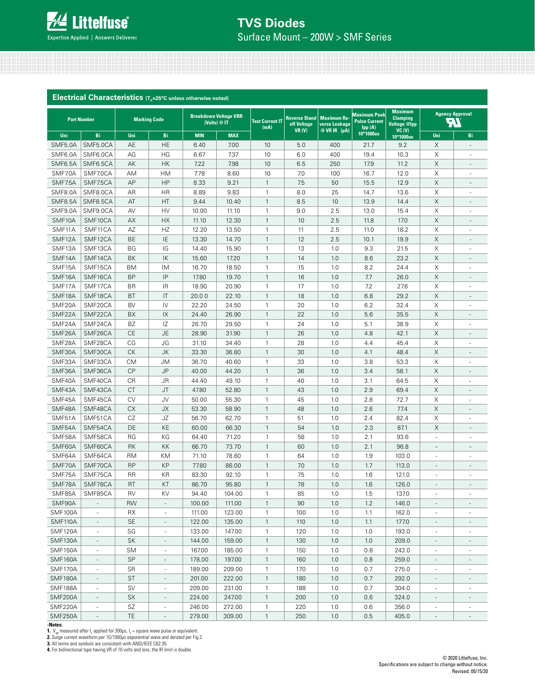# **TVS Diodes** Surface Mount – 200W > SMF Series

| Electrical Characteristics (T <sub>A</sub> =25°C unless otherwise noted) |                          |                  |                              |                |                                              |                                |                                              |                                                     |                                             |                                                                               |                               |                              |
|--------------------------------------------------------------------------|--------------------------|------------------|------------------------------|----------------|----------------------------------------------|--------------------------------|----------------------------------------------|-----------------------------------------------------|---------------------------------------------|-------------------------------------------------------------------------------|-------------------------------|------------------------------|
|                                                                          | <b>Part Number</b>       |                  | <b>Marking Code</b>          |                | <b>Breakdown Voltage VBR</b><br>(Volts) @ IT | <b>Test Current IT</b><br>(mA) | <b>Reverse Stand</b><br>off Voltage<br>VR(V) | <b>Maximum Re-</b><br>verse Leakage<br>@ VR IR (µA) | <b>Maximum Peak</b><br><b>Pulse Current</b> | <b>Maximum</b><br><b>Clamping</b><br><b>Voltage @Ipp</b><br>VC <sub>(V)</sub> | ñ                             | <b>Agency Approval</b>       |
| Uni                                                                      | Bi                       | Uni              | Bi                           | <b>MIN</b>     | <b>MAX</b>                                   |                                |                                              |                                                     | 10*1000us                                   | 10*1000us                                                                     | Uni                           | Bi                           |
| SMF5.0A                                                                  | SMF5.0CA                 | AE               | <b>HE</b>                    | 6.40           | 7.00                                         | 10                             | 5.0                                          | 400                                                 | 21.7                                        | 9.2                                                                           | X                             |                              |
| SMF6.0A                                                                  | SMF6.0CA                 | AG               | HG                           | 6.67           | 7.37                                         | 10                             | 6.0                                          | 400                                                 | 19.4                                        | 10.3                                                                          | X                             | ÷,                           |
| SMF6.5A                                                                  | SMF6.5CA                 | AK               | <b>HK</b>                    | 7.22           | 7.98                                         | 10                             | 6.5                                          | 250                                                 | 17.9                                        | 11.2                                                                          | $\times$                      | $\overline{a}$               |
| SMF7.0A                                                                  | SMF7.0CA                 | AM               | <b>HM</b>                    | 7.78           | 8.60                                         | 10                             | 7.0                                          | 100                                                 | 16.7                                        | 12.0                                                                          | Χ                             | ×,                           |
| SMF7.5A                                                                  | SMF7.5CA                 | AP               | HP                           | 8.33           | 9.21                                         | $\mathbf{1}$                   | 7.5                                          | 50                                                  | 15.5                                        | 12.9                                                                          | $\mathsf X$                   | $\sim$                       |
| SMF8.0A                                                                  | SMF8.0CA                 | AR               | HR                           | 8.89           | 9.83                                         | 1                              | 8.0                                          | 25                                                  | 14.7                                        | 13.6                                                                          | X                             |                              |
| SMF8.5A                                                                  | SMF8.5CA                 | AT               | HT                           | 9.44           | 10.40                                        | $\mathbf{1}$                   | 8.5                                          | 10                                                  | 13.9                                        | 14.4                                                                          | $\boldsymbol{\mathsf{X}}$     |                              |
| SMF9.0A                                                                  | SMF9.0CA                 | AV               | HV                           | 10.00          | 11.10                                        | 1                              | 9.0                                          | 2.5                                                 | 13.0                                        | 15.4                                                                          | X                             |                              |
| SMF10A                                                                   | SMF10CA                  | AX               | HX                           | 11.10          | 12.30                                        | $\mathbf{1}$                   | 10                                           | 2.5                                                 | 11.8                                        | 17.0                                                                          | $\mathsf X$                   |                              |
| SMF11A                                                                   | SMF11CA                  | AZ               | HZ                           | 12.20          | 13.50                                        | 1                              | 11                                           | 2.5                                                 | 11.0                                        | 18.2                                                                          | Χ                             | ٠                            |
| SMF12A                                                                   | SMF12CA                  | BE               | IE                           | 13.30          | 14.70                                        | $\mathbf{1}$                   | 12                                           | 2.5                                                 | 10.1                                        | 19.9                                                                          | $\mathsf X$                   |                              |
| SMF13A                                                                   | SMF13CA                  | BG               | IG                           | 14.40          | 15.90                                        | $\mathbf{1}$                   | 13                                           | 1.0                                                 | 9.3                                         | 21.5                                                                          | X                             | $\overline{\phantom{a}}$     |
| SMF14A                                                                   | SMF14CA                  | BK               | IK                           | 15.60          | 17.20                                        | $\mathbf{1}$                   | 14                                           | 1.0                                                 | 8.6                                         | 23.2                                                                          | X                             | ٠                            |
| SMF15A                                                                   | SMF15CA                  | BM               | IM                           | 16.70          | 18.50                                        | 1                              | 15                                           | 1.0                                                 | 8.2                                         | 24.4                                                                          | X                             |                              |
| SMF16A                                                                   | SMF16CA                  | <b>BP</b>        | IP                           | 17.80          | 19.70                                        | $\mathbf{1}$                   | 16                                           | 1.0                                                 | 7.7                                         | 26.0                                                                          | $\mathsf X$                   | $\overline{\phantom{a}}$     |
| SMF17A                                                                   | SMF17CA                  | <b>BR</b>        | <b>IR</b>                    | 18.90          | 20.90                                        | $\mathbf{1}$                   | 17                                           | 1.0                                                 | 7.2                                         | 27.6                                                                          | X                             |                              |
| SMF18A                                                                   | SMF18CA                  | <b>BT</b>        | IT                           | 20.00          | 22.10                                        | $\mathbf{1}$                   | 18                                           | 1.0                                                 | 6.8                                         | 29.2                                                                          | $\mathsf X$                   |                              |
| SMF20A                                                                   | SMF20CA                  | <b>BV</b>        | IV                           | 22.20          | 24.50                                        | 1                              | 20                                           | 1.0                                                 | 6.2                                         | 32.4                                                                          | X                             |                              |
| SMF22A                                                                   | SMF22CA                  | BX               | $\mathsf{I}\mathsf{X}$       | 24.40          | 26.90                                        | $\mathbf{1}$                   | 22                                           | 1.0                                                 | 5.6                                         | 35.5                                                                          | $\mathsf X$                   |                              |
| SMF24A                                                                   | SMF24CA                  | <b>BZ</b>        | IZ                           | 26.70          | 29.50                                        | $\mathbf{1}$                   | 24                                           | 1.0                                                 | 5.1                                         | 38.9                                                                          | X                             | ٠                            |
| SMF26A                                                                   | SMF26CA                  | <b>CE</b>        | <b>JE</b>                    | 28.90          | 31.90                                        | $\mathbf{1}$                   | 26                                           | 1.0                                                 | 4.8                                         | 42.1                                                                          | $\mathsf X$                   |                              |
| SMF28A                                                                   | SMF28CA                  | CG               | JG                           | 31.10          | 34.40                                        | $\mathbf{1}$                   | 28                                           | 1.0                                                 | 4.4                                         | 45.4                                                                          | X                             | ÷,                           |
| SMF30A                                                                   | SMF30CA                  | ${\sf C}{\sf K}$ | JK                           | 33.30          | 36.80                                        | $\mathbf{1}$                   | 30                                           | 1.0                                                 | 4.1                                         | 48.4                                                                          | X                             | $\overline{\phantom{a}}$     |
| SMF33A                                                                   | SMF33CA                  | <b>CM</b>        | <b>JM</b>                    | 36.70          | 40.60                                        | $\mathbf{1}$                   | 33                                           | 1.0                                                 | 3.8                                         | 53.3                                                                          | Χ                             |                              |
| SMF36A                                                                   | SMF36CA                  | <b>CP</b>        | JP                           | 40.00          | 44.20                                        | $\mathbf{1}$                   | 36                                           | 1.0                                                 | 3.4                                         | 58.1                                                                          | $\mathsf X$                   | $\sim$                       |
| SMF40A                                                                   | SMF40CA                  | CR               | <b>JR</b>                    | 44.40          | 49.10                                        | $\mathbf{1}$                   | 40                                           | 1.0                                                 | 3.1                                         | 64.5                                                                          | X                             |                              |
| SMF43A                                                                   | SMF43CA                  | <b>CT</b>        | JT                           | 47.80          | 52.80                                        | $\mathbf{1}$                   | 43                                           | 1.0                                                 | 2.9                                         | 69.4                                                                          | $\boldsymbol{\times}$         |                              |
| SMF45A                                                                   | SMF45CA                  | <b>CV</b>        | JV                           | 50.00          | 55.30                                        | $\mathbf{1}$                   | 45                                           | 1.0                                                 | 2.8                                         | 72.7                                                                          | X                             |                              |
| SMF48A                                                                   | SMF48CA                  | <b>CX</b><br>CZ  | JХ                           | 53.30          | 58.90                                        | $\mathbf{1}$                   | 48                                           | 1.0                                                 | 2.6                                         | 77.4                                                                          | $\mathsf X$                   |                              |
| SMF51A                                                                   | SMF51CA                  | DE               | JΖ<br>KE                     | 56.70          | 62.70                                        | $\mathbf{1}$                   | 51                                           | 1.0                                                 | 2.4                                         | 82.4                                                                          | Χ<br>$\times$                 | $\sim$                       |
| SMF54A                                                                   | SMF54CA                  |                  |                              | 60.00          | 66.30                                        | $\mathbf{1}$                   | 54                                           | 1.0                                                 | 2.3                                         | 87.1                                                                          |                               | $\qquad \qquad \blacksquare$ |
| SMF58A                                                                   | SMF58CA                  | RG               | ΚG<br>KK                     | 64.40          | 71.20                                        | $\mathbf{1}$<br>$\mathbf{1}$   | 58<br>60                                     | 1.0<br>1.0                                          | 2.1<br>2.1                                  | 93.6<br>96.8                                                                  | $\overline{\phantom{a}}$      | $\sim$<br>$\overline{a}$     |
| SMF60A<br>SMF64A                                                         | SMF60CA                  | RK<br><b>RM</b>  | KM                           | 66.70          | 73.70                                        | 1                              | 64                                           | 1.0                                                 | 1.9                                         |                                                                               | $\overline{\phantom{a}}$<br>٠ |                              |
| SMF70A                                                                   | SMF64CA<br>SMF70CA       | <b>RP</b>        | <b>KP</b>                    | 71.10<br>77.80 | 78.60<br>86.00                               | $\mathbf{1}$                   | 70                                           | 1.0                                                 | 1.7                                         | 103.0<br>113.0                                                                | $\sim$                        | $\overline{\phantom{a}}$     |
| SMF75A                                                                   | SMF75CA                  | <b>RR</b>        | KR                           | 83.30          | 92.10                                        | $\mathbf{1}$                   | 75                                           | 1.0                                                 | 1.6                                         | 121.0                                                                         | $\overline{a}$                | ÷                            |
| SMF78A                                                                   | SMF78CA                  | RT               | КT                           | 86.70          | 95.80                                        | 1                              | 78                                           | $1.0\,$                                             | 1.6                                         | 126.0                                                                         |                               |                              |
| SMF85A                                                                   | SMF85CA                  | RV               | KV                           | 94.40          | 104.00                                       | 1                              | 85                                           | 1.0                                                 | 1.5                                         | 137.0                                                                         |                               |                              |
| SMF90A                                                                   |                          | <b>RW</b>        | $\qquad \qquad \blacksquare$ | 100.00         | 111.00                                       | $\mathbf{1}$                   | 90                                           | 1.0                                                 | 1.2                                         | 146.0                                                                         | $\frac{1}{2}$                 |                              |
| SMF100A                                                                  | $\overline{\phantom{a}}$ | RX               | $\overline{\phantom{a}}$     | 111.00         | 123.00                                       | $\mathbf{1}$                   | 100                                          | 1.0                                                 | 1.1                                         | 162.0                                                                         | $\overline{\phantom{a}}$      | $\overline{\phantom{a}}$     |
| SMF110A                                                                  | $\overline{\phantom{a}}$ | SE               | $\qquad \qquad -$            | 122.00         | 135.00                                       | $\mathbf{1}$                   | 110                                          | 1.0                                                 | 1.1                                         | 177.0                                                                         | $\overline{\phantom{a}}$      |                              |
| SMF120A                                                                  | $\overline{\phantom{m}}$ | SG               | $\frac{1}{2}$                | 133.00         | 147.00                                       | 1                              | 120                                          | 1.0                                                 | 1.0                                         | 193.0                                                                         | $\overline{\phantom{a}}$      | $\overline{\phantom{a}}$     |
| SMF130A                                                                  |                          | SK               |                              | 144.00         | 159.00                                       | $\mathbf{1}$                   | 130                                          | 1.0                                                 | 1.0                                         | 209.0                                                                         |                               |                              |
| <b>SMF150A</b>                                                           | ä,                       | <b>SM</b>        | ä,                           | 167.00         | 185.00                                       | $\mathbf{1}$                   | 150                                          | 1.0                                                 | 0.8                                         | 243.0                                                                         | ä,                            |                              |
| <b>SMF160A</b>                                                           | $\overline{\phantom{a}}$ | SP               | $\overline{\phantom{0}}$     | 178.00         | 197.00                                       | $\mathbf{1}$                   | 160                                          | 1.0                                                 | 0.8                                         | 259.0                                                                         | $\overline{\phantom{a}}$      | $\overline{\phantom{a}}$     |
| SMF170A                                                                  | $\overline{\phantom{a}}$ | SR               | $\frac{1}{2}$                | 189.00         | 209.00                                       | $\mathbf{1}$                   | 170                                          | 1.0                                                 | 0.7                                         | 275.0                                                                         | $\overline{\phantom{a}}$      |                              |
| SMF180A                                                                  | $\overline{\phantom{a}}$ | <b>ST</b>        | $\overline{\phantom{a}}$     | 201.00         | 222.00                                       | $\mathbf{1}$                   | 180                                          | 1.0                                                 | 0.7                                         | 292.0                                                                         | $\overline{\phantom{a}}$      |                              |
| SMF188A                                                                  | $\overline{\phantom{a}}$ | <b>SV</b>        | ٠                            | 209.00         | 231.00                                       | $\mathbf{1}$                   | 188                                          | 1.0                                                 | 0.7                                         | 304.0                                                                         |                               |                              |
| SMF200A                                                                  | $\overline{\phantom{a}}$ | SX               | $\overline{\phantom{a}}$     | 224.00         | 247.00                                       | $\mathbf{1}$                   | 200                                          | 1.0                                                 | 0.6                                         | 324.0                                                                         | $\overline{\phantom{a}}$      |                              |
| SMF220A                                                                  | $\overline{\phantom{a}}$ | SZ               | ۰                            | 246.00         | 272.00                                       | $\mathbf{1}$                   | 220                                          | 1.0                                                 | 0.6                                         | 356.0                                                                         | ٠                             | $\overline{\phantom{a}}$     |
| SMF250A                                                                  | $\overline{\phantom{a}}$ | TE               | $\overline{\phantom{a}}$     | 279.00         | 309.00                                       | $\mathbf{1}$                   | 250                                          | 1.0                                                 | 0.5                                         | 405.0                                                                         | $\overline{\phantom{a}}$      |                              |
|                                                                          |                          |                  |                              |                |                                              |                                |                                              |                                                     |                                             |                                                                               |                               |                              |

#### **-Notes:**

**1.**  $\mathsf{V}_{_{\mathsf{BR}}}$  measured after I<sub>T</sub> applied for 300µs, I<sub>T</sub> = square wave pulse or equivalent.

**2.** Surge current waveform per 10/1000µs exponential wave and derated per Fig.2. **3.** All terms and symbols are consistent with ANSI/IEEE C62.35.

**4.** For bidirectional type having VR of 10 volts and less, the IR limit is double.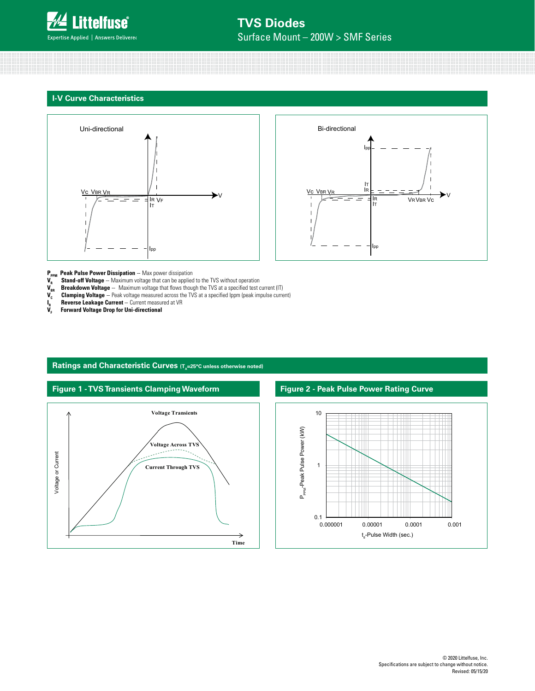------------------------------- #### **I-V Curve Characteristics**





**P<sub>PPM</sub> Peak Pulse Power Dissipation** -- Max power dissipation<br>**V<sub>-</sub> Stand-off Voltage** -- Maximum voltage that can be applied

- **V<sub>R</sub> Stand-off Voltage** -- Maximum voltage that can be applied to the TVS without operation **V<sub>BR</sub>** Breakdown Voltage -- Maximum voltage that flows though the TVS at a specified test over **Clamping Voltage** -- Peak voltag
- **Breakdown Voltage** -- Maximum voltage that flows though the TVS at a specified test current (IT)
- **Clamping Voltage** -- Peak voltage measured across the TVS at a specified Ippm (peak impulse current)
- **Reverse Leakage Current -- Current measured at VR**
- $\mathbf{I}_{\mathbf{R}}^{\mathbf{R}}$ **VF Forward Voltage Drop for Uni-directional**



### Ratings and Characteristic Curves (T<sub>A</sub>=25°C unless otherwise noted)

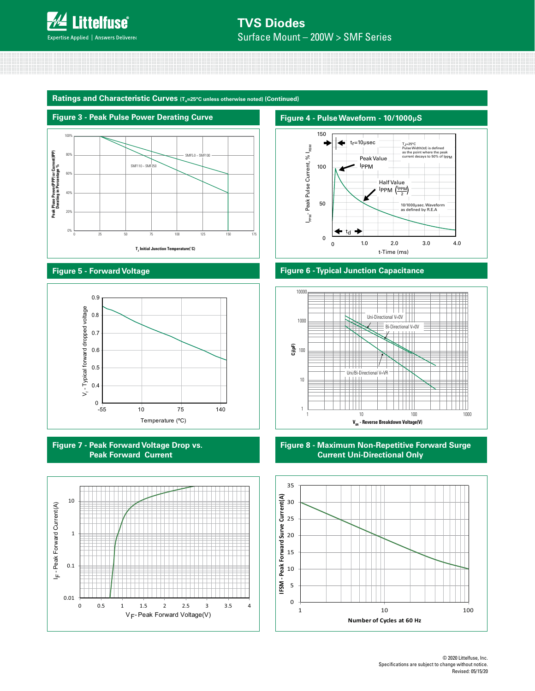

**Ratings and Characteristic Curves (T<sub>A</sub>=25°C unless otherwise noted) (Continued)** 



#### **Figure 5 - Forward Voltage**



**Figure 7 - Peak Forward Voltage Drop vs. Peak Forward Current**





### **Figure 6 - Typical Junction Capacitance**



#### **Figure 8 - Maximum Non-Repetitive Forward Surge Current Uni-Directional Only**



© 2020 Littelfuse, Inc. Specifications are subject to change without notice. Revised: 05/15/20

**Figure 4 - Pulse Waveform - 10/1000µS**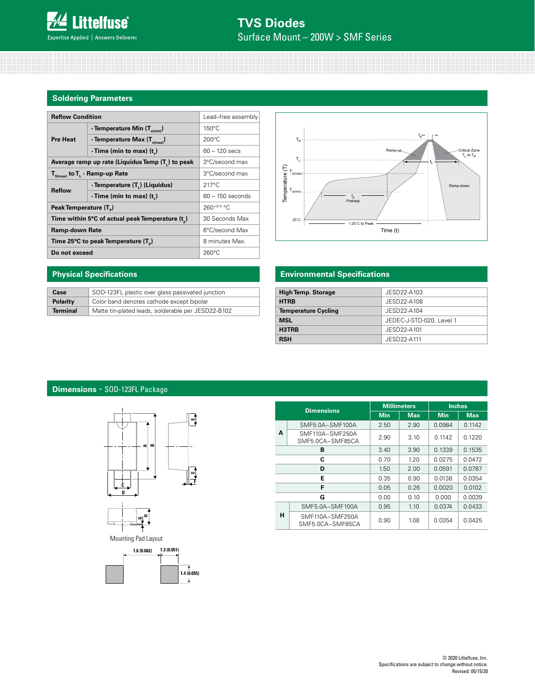#### **Soldering Parameters**

| <b>Reflow Condition</b>                          | Lead-free assembly                       |                    |  |
|--------------------------------------------------|------------------------------------------|--------------------|--|
| <b>Pre Heat</b>                                  | - Temperature Min $(T_{s(min)})$         | $150^{\circ}$ C    |  |
|                                                  | - Temperature Max (T <sub>s(max)</sub> ) | $200^{\circ}$ C    |  |
|                                                  | -Time (min to max) $(t_*)$               | $60 - 120$ secs    |  |
| Average ramp up rate (Liquidus Temp (T,) to peak | 3°C/second max                           |                    |  |
| $T_{\text{S(max)}}$ to $T_{L}$ - Ramp-up Rate    | 3°C/second max                           |                    |  |
| <b>Reflow</b>                                    | - Temperature (T,) (Liquidus)            | $217^{\circ}$ C    |  |
|                                                  | -Time (min to max) $(ti)$                | $60 - 150$ seconds |  |
| Peak Temperature (T <sub>n</sub> )               | $260+0/5$ °C                             |                    |  |
| Time within 5°C of actual peak Temperature (t)   | 30 Seconds Max                           |                    |  |
| <b>Ramp-down Rate</b>                            | 6°C/second Max                           |                    |  |
| Time 25°C to peak Temperature (T <sub>a</sub> )  | 8 minutes Max.                           |                    |  |
| Do not exceed                                    | $260^{\circ}$ C                          |                    |  |



#### **Environmental Specifications**

| <b>High Temp. Storage</b>  | JESD22-A103              |
|----------------------------|--------------------------|
| <b>HTRB</b>                | JESD22-A108              |
| <b>Temperature Cycling</b> | JESD22-A104              |
| <b>MSL</b>                 | JEDEC-J-STD-020, Level 1 |
| H3TRB                      | JESD22-A101              |
| <b>RSH</b>                 | JESD22-A111              |

## **Physical Specifications**

| Case            | SOD-123FL plastic over glass passivated junction   |
|-----------------|----------------------------------------------------|
| <b>Polarity</b> | Color band denotes cathode except bipolar          |
| <b>Terminal</b> | Matte tin-plated leads, solderable per JESD22-B102 |

# **Dimensions** - SOD-123FL Package





Mounting Pad Layout



| <b>Dimensions</b> |                                     |            | <b>Millimeters</b> | <b>Inches</b> |            |
|-------------------|-------------------------------------|------------|--------------------|---------------|------------|
|                   |                                     | <b>Min</b> | <b>Max</b>         | Min           | <b>Max</b> |
|                   | $SMF5.0A \sim SMF100A$              | 2.50       | 2.90               | 0.0984        | 0.1142     |
| A                 | SMF110A~SMF250A<br>SMF5.0CA~SMF85CA | 2.90       | 3.10               | 0.1142        | 0.1220     |
|                   | в                                   | 3.40       | 3.90               | 0.1339        | 0.1535     |
|                   | C                                   | 0.70       | 1.20               | 0.0275        | 0.0472     |
|                   | D                                   | 1.50       | 2.00               | 0.0591        | 0.0787     |
|                   | E                                   | 0.35       | 0.90               | 0.0138        | 0.0354     |
|                   | F                                   | 0.05       | 0.26               | 0.0020        | 0.0102     |
| G                 |                                     | 0.00       | 0.10               | 0.000         | 0.0039     |
|                   | SMF5.0A~SMF100A                     | 0.95       | 1.10               | 0.0374        | 0.0433     |
| н                 | SMF110A~SMF250A<br>SMF5.0CA~SMF85CA | 0.90       | 1.08               | 0.0354        | 0.0425     |